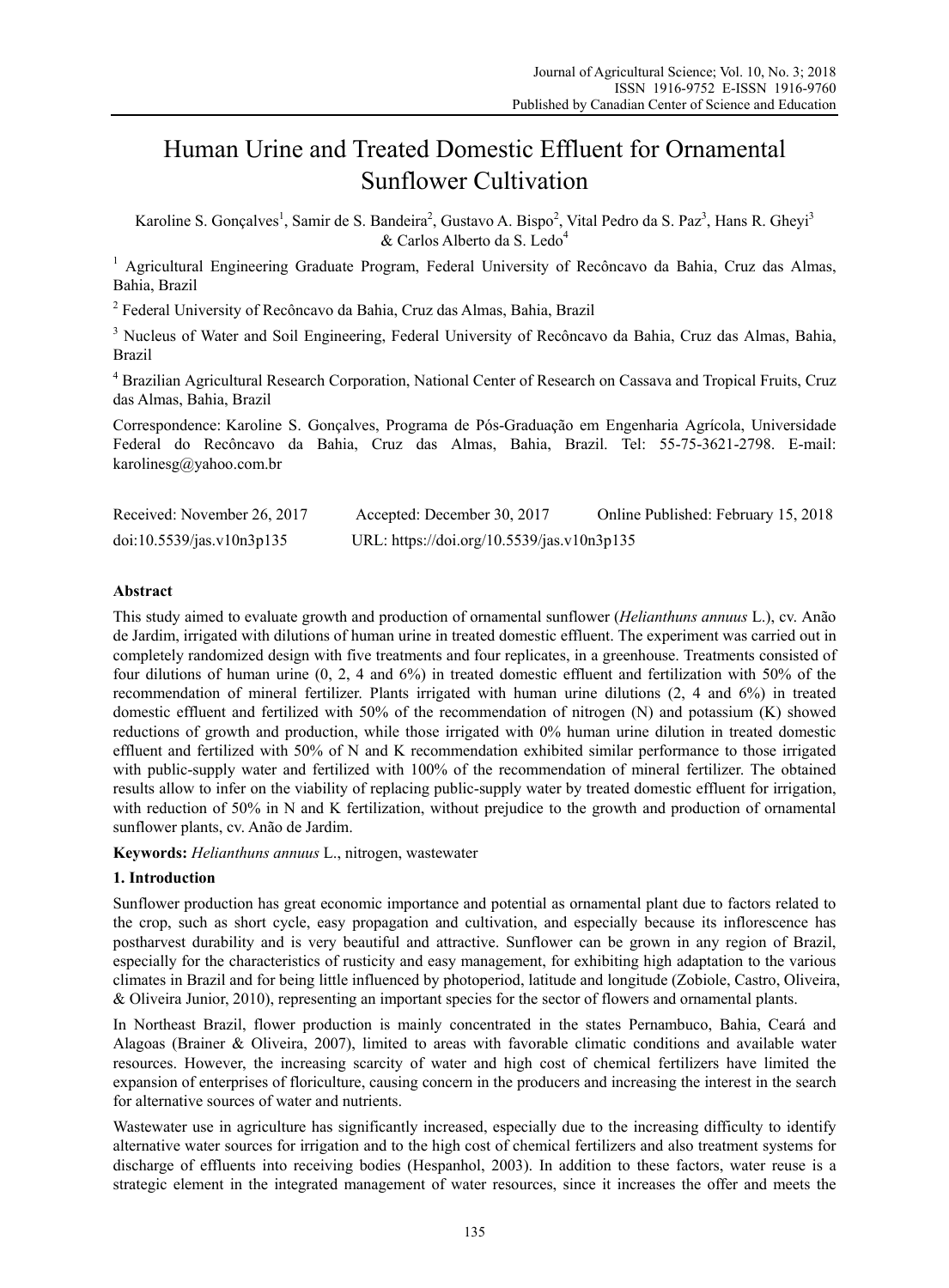# Human Urine and Treated Domestic Effluent for Ornamental Sunflower Cultivation

Karoline S. Gonçalves<sup>1</sup>, Samir de S. Bandeira<sup>2</sup>, Gustavo A. Bispo<sup>2</sup>, Vital Pedro da S. Paz<sup>3</sup>, Hans R. Gheyi<sup>3</sup> & Carlos Alberto da S. Ledo<sup>4</sup>

<sup>1</sup> Agricultural Engineering Graduate Program, Federal University of Recôncavo da Bahia, Cruz das Almas, Bahia, Brazil

<sup>2</sup> Federal University of Recôncavo da Bahia, Cruz das Almas, Bahia, Brazil

<sup>3</sup> Nucleus of Water and Soil Engineering, Federal University of Recôncavo da Bahia, Cruz das Almas, Bahia, Brazil

<sup>4</sup> Brazilian Agricultural Research Corporation, National Center of Research on Cassava and Tropical Fruits, Cruz das Almas, Bahia, Brazil

Correspondence: Karoline S. Gonçalves, Programa de Pós-Graduação em Engenharia Agrícola, Universidade Federal do Recôncavo da Bahia, Cruz das Almas, Bahia, Brazil. Tel: 55-75-3621-2798. E-mail: karolinesg@yahoo.com.br

| Received: November 26, 2017 | Accepted: December 30, 2017                | Online Published: February 15, 2018 |
|-----------------------------|--------------------------------------------|-------------------------------------|
| doi:10.5539/jas.v10n3p135   | URL: https://doi.org/10.5539/jas.v10n3p135 |                                     |

# **Abstract**

This study aimed to evaluate growth and production of ornamental sunflower (*Helianthuns annuus* L.), cv. Anão de Jardim, irrigated with dilutions of human urine in treated domestic effluent. The experiment was carried out in completely randomized design with five treatments and four replicates, in a greenhouse. Treatments consisted of four dilutions of human urine (0, 2, 4 and 6%) in treated domestic effluent and fertilization with 50% of the recommendation of mineral fertilizer. Plants irrigated with human urine dilutions (2, 4 and 6%) in treated domestic effluent and fertilized with 50% of the recommendation of nitrogen (N) and potassium (K) showed reductions of growth and production, while those irrigated with 0% human urine dilution in treated domestic effluent and fertilized with 50% of N and K recommendation exhibited similar performance to those irrigated with public-supply water and fertilized with 100% of the recommendation of mineral fertilizer. The obtained results allow to infer on the viability of replacing public-supply water by treated domestic effluent for irrigation, with reduction of 50% in N and K fertilization, without prejudice to the growth and production of ornamental sunflower plants, cv. Anão de Jardim.

**Keywords:** *Helianthuns annuus* L., nitrogen, wastewater

## **1. Introduction**

Sunflower production has great economic importance and potential as ornamental plant due to factors related to the crop, such as short cycle, easy propagation and cultivation, and especially because its inflorescence has postharvest durability and is very beautiful and attractive. Sunflower can be grown in any region of Brazil, especially for the characteristics of rusticity and easy management, for exhibiting high adaptation to the various climates in Brazil and for being little influenced by photoperiod, latitude and longitude (Zobiole, Castro, Oliveira, & Oliveira Junior, 2010), representing an important species for the sector of flowers and ornamental plants.

In Northeast Brazil, flower production is mainly concentrated in the states Pernambuco, Bahia, Ceará and Alagoas (Brainer & Oliveira, 2007), limited to areas with favorable climatic conditions and available water resources. However, the increasing scarcity of water and high cost of chemical fertilizers have limited the expansion of enterprises of floriculture, causing concern in the producers and increasing the interest in the search for alternative sources of water and nutrients.

Wastewater use in agriculture has significantly increased, especially due to the increasing difficulty to identify alternative water sources for irrigation and to the high cost of chemical fertilizers and also treatment systems for discharge of effluents into receiving bodies (Hespanhol, 2003). In addition to these factors, water reuse is a strategic element in the integrated management of water resources, since it increases the offer and meets the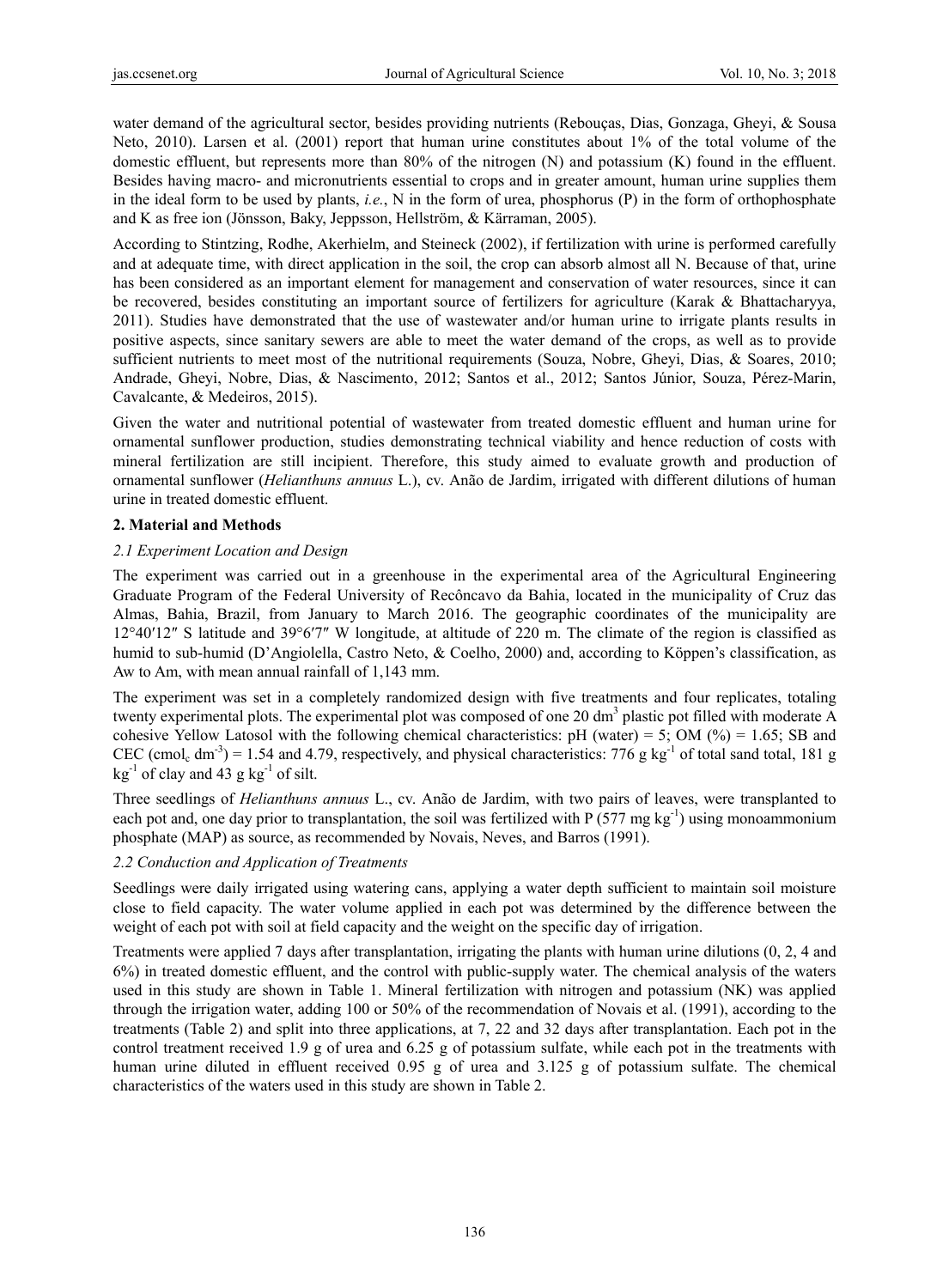water demand of the agricultural sector, besides providing nutrients (Rebouças, Dias, Gonzaga, Gheyi, & Sousa Neto, 2010). Larsen et al. (2001) report that human urine constitutes about 1% of the total volume of the domestic effluent, but represents more than 80% of the nitrogen (N) and potassium (K) found in the effluent. Besides having macro- and micronutrients essential to crops and in greater amount, human urine supplies them in the ideal form to be used by plants, *i.e.*, N in the form of urea, phosphorus (P) in the form of orthophosphate and K as free ion (Jönsson, Baky, Jeppsson, Hellström, & Kärraman, 2005).

According to Stintzing, Rodhe, Akerhielm, and Steineck (2002), if fertilization with urine is performed carefully and at adequate time, with direct application in the soil, the crop can absorb almost all N. Because of that, urine has been considered as an important element for management and conservation of water resources, since it can be recovered, besides constituting an important source of fertilizers for agriculture (Karak & Bhattacharyya, 2011). Studies have demonstrated that the use of wastewater and/or human urine to irrigate plants results in positive aspects, since sanitary sewers are able to meet the water demand of the crops, as well as to provide sufficient nutrients to meet most of the nutritional requirements (Souza, Nobre, Gheyi, Dias, & Soares, 2010; Andrade, Gheyi, Nobre, Dias, & Nascimento, 2012; Santos et al., 2012; Santos Júnior, Souza, Pérez-Marin, Cavalcante, & Medeiros, 2015).

Given the water and nutritional potential of wastewater from treated domestic effluent and human urine for ornamental sunflower production, studies demonstrating technical viability and hence reduction of costs with mineral fertilization are still incipient. Therefore, this study aimed to evaluate growth and production of ornamental sunflower (*Helianthuns annuus* L.), cv. Anão de Jardim, irrigated with different dilutions of human urine in treated domestic effluent.

## **2. Material and Methods**

## *2.1 Experiment Location and Design*

The experiment was carried out in a greenhouse in the experimental area of the Agricultural Engineering Graduate Program of the Federal University of Recôncavo da Bahia, located in the municipality of Cruz das Almas, Bahia, Brazil, from January to March 2016. The geographic coordinates of the municipality are 12°40′12″ S latitude and 39°6′7″ W longitude, at altitude of 220 m. The climate of the region is classified as humid to sub-humid (D'Angiolella, Castro Neto, & Coelho, 2000) and, according to Köppen's classification, as Aw to Am, with mean annual rainfall of 1,143 mm.

The experiment was set in a completely randomized design with five treatments and four replicates, totaling twenty experimental plots. The experimental plot was composed of one 20 dm<sup>3</sup> plastic pot filled with moderate A cohesive Yellow Latosol with the following chemical characteristics: pH (water) = 5; OM (%) = 1.65; SB and CEC (cmol<sub>c</sub> dm<sup>-3</sup>) = 1.54 and 4.79, respectively, and physical characteristics: 776 g kg<sup>-1</sup> of total sand total, 181 g  $kg^{-1}$  of clay and 43 g kg<sup>-1</sup> of silt.

Three seedlings of *Helianthuns annuus* L., cv. Anão de Jardim, with two pairs of leaves, were transplanted to each pot and, one day prior to transplantation, the soil was fertilized with P (577 mg kg<sup>-1</sup>) using monoammonium phosphate (MAP) as source, as recommended by Novais, Neves, and Barros (1991).

# *2.2 Conduction and Application of Treatments*

Seedlings were daily irrigated using watering cans, applying a water depth sufficient to maintain soil moisture close to field capacity. The water volume applied in each pot was determined by the difference between the weight of each pot with soil at field capacity and the weight on the specific day of irrigation.

Treatments were applied 7 days after transplantation, irrigating the plants with human urine dilutions (0, 2, 4 and 6%) in treated domestic effluent, and the control with public-supply water. The chemical analysis of the waters used in this study are shown in Table 1. Mineral fertilization with nitrogen and potassium (NK) was applied through the irrigation water, adding 100 or 50% of the recommendation of Novais et al. (1991), according to the treatments (Table 2) and split into three applications, at 7, 22 and 32 days after transplantation. Each pot in the control treatment received 1.9 g of urea and 6.25 g of potassium sulfate, while each pot in the treatments with human urine diluted in effluent received 0.95 g of urea and 3.125 g of potassium sulfate. The chemical characteristics of the waters used in this study are shown in Table 2.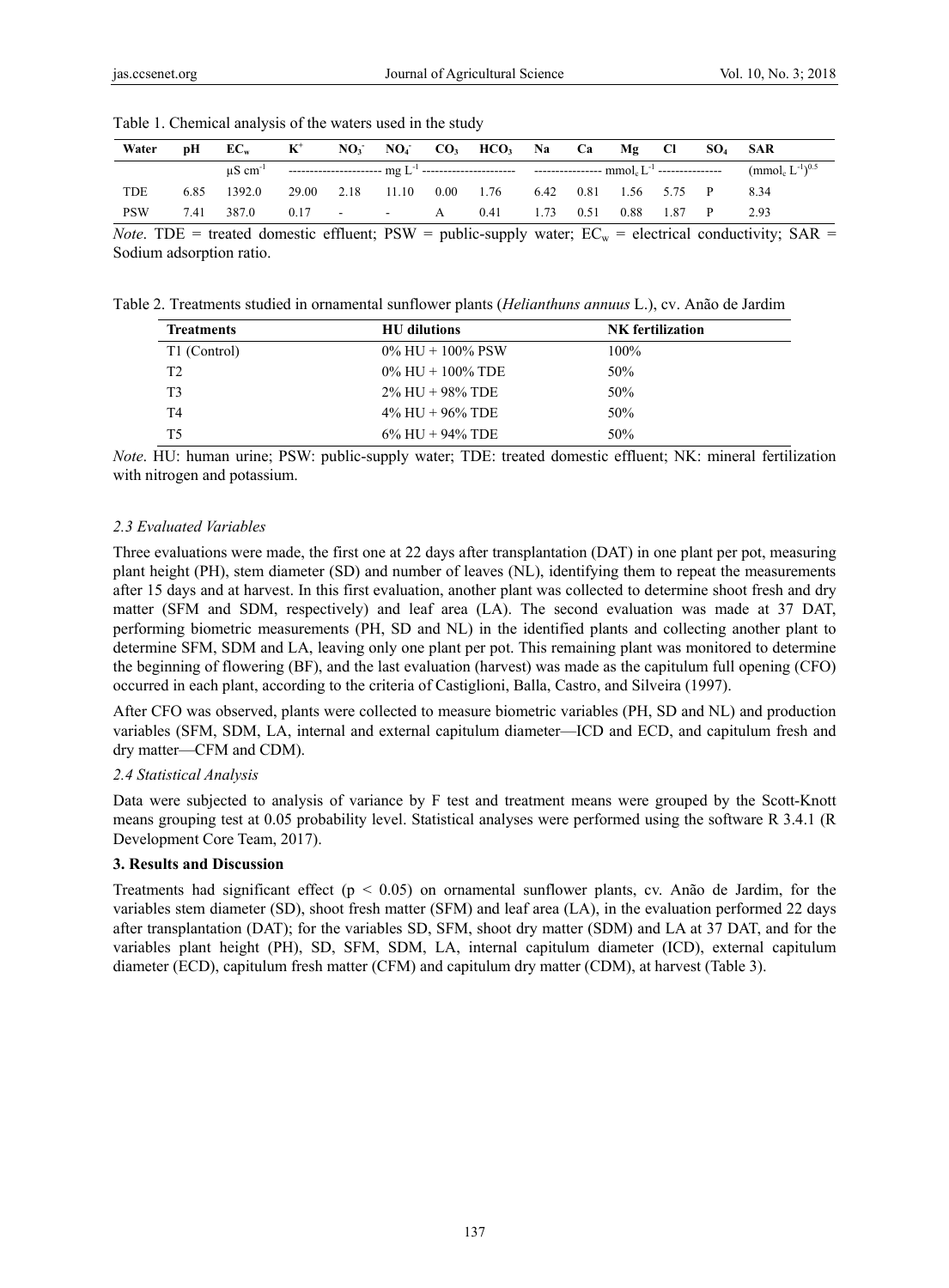Table 1. Chemical analysis of the waters used in the study

| Water      | рH   | $EC_{w}$                                                                                                                                                                                                                                  | $K^+$            |               |                    | $NO_3$ $NO_4$ $CO_3$ $HCO_3$ $Na$ $Ca$ |      |      | $Mg$ Cl          |      | $SO_4$ SAR                                   |
|------------|------|-------------------------------------------------------------------------------------------------------------------------------------------------------------------------------------------------------------------------------------------|------------------|---------------|--------------------|----------------------------------------|------|------|------------------|------|----------------------------------------------|
|            |      | $\mu$ S cm <sup>-1</sup> and the second second second second second second second second second second second second second second second second second second second second second second second second second second second second seco |                  |               |                    |                                        |      |      |                  |      | (mmol <sub>c</sub> $L^{-1}$ ) <sup>0.5</sup> |
| TDE        | 6.85 | 1392.0                                                                                                                                                                                                                                    | 29.00 2.18 11.10 |               | $0.00 \qquad 1.76$ |                                        | 6.42 |      | 0.81 1.56 5.75 P |      | 8.34                                         |
| <b>PSW</b> | 7.41 | 387.0                                                                                                                                                                                                                                     |                  | $0.17$ - $-A$ |                    | 0.41                                   |      | 0.51 | 0.88             | 1.87 | 2.93                                         |

*Note*. TDE = treated domestic effluent;  $PSW =$  public-supply water;  $EC_w =$  electrical conductivity;  $SAR =$ Sodium adsorption ratio.

Table 2. Treatments studied in ornamental sunflower plants (*Helianthuns annuus* L.), cv. Anão de Jardim

| <b>Treatments</b> | <b>HU</b> dilutions    | <b>NK</b> fertilization |  |  |
|-------------------|------------------------|-------------------------|--|--|
| T1 (Control)      | $0\%$ HU + $100\%$ PSW | $100\%$                 |  |  |
| T <sub>2</sub>    | $0\%$ HU + $100\%$ TDE | 50%                     |  |  |
| T <sub>3</sub>    | $2\%$ HU + 98% TDE     | 50%                     |  |  |
| T4                | $4\%$ HU + 96% TDE     | 50%                     |  |  |
| T5                | $6\%$ HU + 94% TDE     | 50%                     |  |  |

*Note*. HU: human urine; PSW: public-supply water; TDE: treated domestic effluent; NK: mineral fertilization with nitrogen and potassium.

## *2.3 Evaluated Variables*

Three evaluations were made, the first one at 22 days after transplantation (DAT) in one plant per pot, measuring plant height (PH), stem diameter (SD) and number of leaves (NL), identifying them to repeat the measurements after 15 days and at harvest. In this first evaluation, another plant was collected to determine shoot fresh and dry matter (SFM and SDM, respectively) and leaf area (LA). The second evaluation was made at 37 DAT, performing biometric measurements (PH, SD and NL) in the identified plants and collecting another plant to determine SFM, SDM and LA, leaving only one plant per pot. This remaining plant was monitored to determine the beginning of flowering (BF), and the last evaluation (harvest) was made as the capitulum full opening (CFO) occurred in each plant, according to the criteria of Castiglioni, Balla, Castro, and Silveira (1997).

After CFO was observed, plants were collected to measure biometric variables (PH, SD and NL) and production variables (SFM, SDM, LA, internal and external capitulum diameter—ICD and ECD, and capitulum fresh and dry matter—CFM and CDM).

## *2.4 Statistical Analysis*

Data were subjected to analysis of variance by F test and treatment means were grouped by the Scott-Knott means grouping test at 0.05 probability level. Statistical analyses were performed using the software R 3.4.1 (R Development Core Team, 2017).

# **3. Results and Discussion**

Treatments had significant effect ( $p < 0.05$ ) on ornamental sunflower plants, cv. Anão de Jardim, for the variables stem diameter (SD), shoot fresh matter (SFM) and leaf area (LA), in the evaluation performed 22 days after transplantation (DAT); for the variables SD, SFM, shoot dry matter (SDM) and LA at 37 DAT, and for the variables plant height (PH), SD, SFM, SDM, LA, internal capitulum diameter (ICD), external capitulum diameter (ECD), capitulum fresh matter (CFM) and capitulum dry matter (CDM), at harvest (Table 3).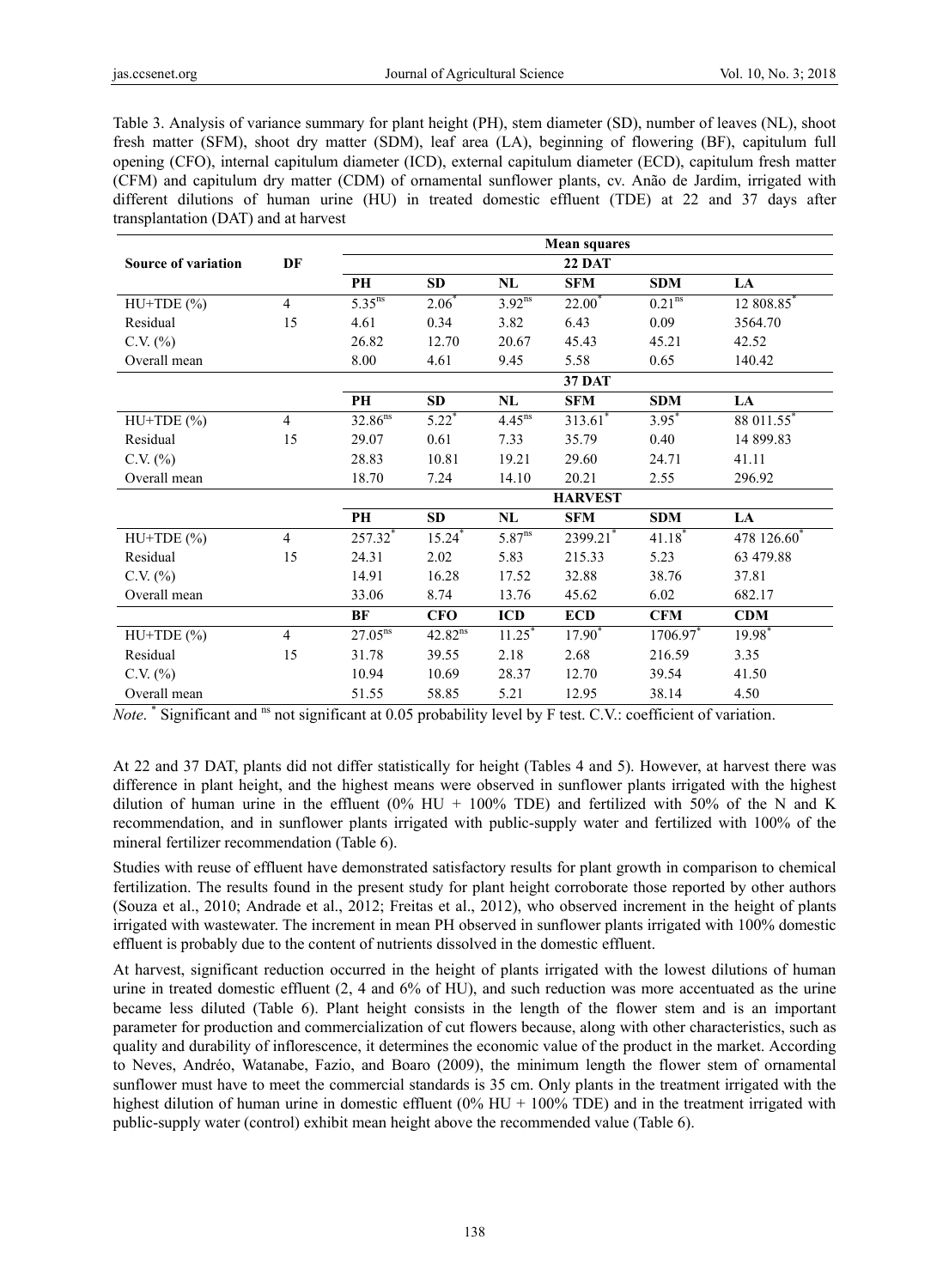Table 3. Analysis of variance summary for plant height (PH), stem diameter (SD), number of leaves (NL), shoot fresh matter (SFM), shoot dry matter (SDM), leaf area (LA), beginning of flowering (BF), capitulum full opening (CFO), internal capitulum diameter (ICD), external capitulum diameter (ECD), capitulum fresh matter (CFM) and capitulum dry matter (CDM) of ornamental sunflower plants, cv. Anão de Jardim, irrigated with different dilutions of human urine (HU) in treated domestic effluent (TDE) at 22 and 37 days after transplantation (DAT) and at harvest

|                            |                | <b>Mean squares</b> |                      |                      |                       |                    |            |  |  |
|----------------------------|----------------|---------------------|----------------------|----------------------|-----------------------|--------------------|------------|--|--|
| <b>Source of variation</b> | DF             |                     |                      |                      | <b>22 DAT</b>         |                    |            |  |  |
|                            |                | PH                  | <b>SD</b>            | NL                   | <b>SFM</b>            | <b>SDM</b>         | LA         |  |  |
| $HU+TDE(%)$                | $\overline{4}$ | $5.35^{ns}$         | $2.06*$              | $3.92^{ns}$          | $22.00^*$             | 0.21 <sup>ns</sup> | 12 808.85* |  |  |
| Residual                   | 15             | 4.61                | 0.34                 | 3.82                 | 6.43                  | 0.09               | 3564.70    |  |  |
| $C.V.$ $(\%)$              |                | 26.82               | 12.70                | 20.67                | 45.43                 | 45.21              | 42.52      |  |  |
| Overall mean               |                | 8.00                | 4.61                 | 9.45                 | 5.58                  | 0.65               | 140.42     |  |  |
|                            |                |                     |                      |                      | <b>37 DAT</b>         |                    |            |  |  |
|                            |                | PH                  | <b>SD</b>            | NL                   | <b>SFM</b>            | <b>SDM</b>         | <b>LA</b>  |  |  |
| $HU+TDE(%)$                | 4              | $32.86^{ns}$        | $5.22*$              | $4.45$ <sup>ns</sup> | $313.61$ <sup>*</sup> | $3.95^*$           | 88 011.55* |  |  |
| Residual                   | 15             | 29.07               | 0.61                 | 7.33                 | 35.79                 | 0.40               | 14 899.83  |  |  |
| $C.V.$ $(\%)$              |                | 28.83               | 10.81                | 19.21                | 29.60                 | 24.71              | 41.11      |  |  |
| Overall mean               |                | 18.70               | 7.24                 | 14.10                | 20.21                 | 2.55               | 296.92     |  |  |
|                            |                | <b>HARVEST</b>      |                      |                      |                       |                    |            |  |  |
|                            |                | PH                  | SD                   | NL                   | <b>SFM</b>            | <b>SDM</b>         | LA         |  |  |
| $HU+TDE(%)$                | $\overline{4}$ | 257.32*             | $15.24$ <sup>*</sup> | 5.87 <sup>ns</sup>   | 2399.21               | $41.18*$           | 478 126.60 |  |  |
| Residual                   | 15             | 24.31               | 2.02                 | 5.83                 | 215.33                | 5.23               | 63 479.88  |  |  |
| $C.V.$ $(\%)$              |                | 14.91               | 16.28                | 17.52                | 32.88                 | 38.76              | 37.81      |  |  |
| Overall mean               |                | 33.06               | 8.74                 | 13.76                | 45.62                 | 6.02               | 682.17     |  |  |
|                            |                | BF                  | <b>CFO</b>           | <b>ICD</b>           | <b>ECD</b>            | <b>CFM</b>         | <b>CDM</b> |  |  |
| $HU+TDE(%)$                | $\overline{4}$ | $27.05^{ns}$        | 42.82 <sup>ns</sup>  | $11.25*$             | 17.90 <sup>*</sup>    | 1706.97*           | $19.98*$   |  |  |
| Residual                   | 15             | 31.78               | 39.55                | 2.18                 | 2.68                  | 216.59             | 3.35       |  |  |
| $C.V.$ $(\%)$              |                | 10.94               | 10.69                | 28.37                | 12.70                 | 39.54              | 41.50      |  |  |
| Overall mean               |                | 51.55               | 58.85                | 5.21                 | 12.95                 | 38.14              | 4.50       |  |  |

*Note.* \* Significant and <sup>ns</sup> not significant at 0.05 probability level by F test. C.V.: coefficient of variation.

At 22 and 37 DAT, plants did not differ statistically for height (Tables 4 and 5). However, at harvest there was difference in plant height, and the highest means were observed in sunflower plants irrigated with the highest dilution of human urine in the effluent (0% HU + 100% TDE) and fertilized with 50% of the N and K recommendation, and in sunflower plants irrigated with public-supply water and fertilized with 100% of the mineral fertilizer recommendation (Table 6).

Studies with reuse of effluent have demonstrated satisfactory results for plant growth in comparison to chemical fertilization. The results found in the present study for plant height corroborate those reported by other authors (Souza et al., 2010; Andrade et al., 2012; Freitas et al., 2012), who observed increment in the height of plants irrigated with wastewater. The increment in mean PH observed in sunflower plants irrigated with 100% domestic effluent is probably due to the content of nutrients dissolved in the domestic effluent.

At harvest, significant reduction occurred in the height of plants irrigated with the lowest dilutions of human urine in treated domestic effluent (2, 4 and 6% of HU), and such reduction was more accentuated as the urine became less diluted (Table 6). Plant height consists in the length of the flower stem and is an important parameter for production and commercialization of cut flowers because, along with other characteristics, such as quality and durability of inflorescence, it determines the economic value of the product in the market. According to Neves, Andréo, Watanabe, Fazio, and Boaro (2009), the minimum length the flower stem of ornamental sunflower must have to meet the commercial standards is 35 cm. Only plants in the treatment irrigated with the highest dilution of human urine in domestic effluent  $(0\% \text{ HU} + 100\% \text{ TDE})$  and in the treatment irrigated with public-supply water (control) exhibit mean height above the recommended value (Table 6).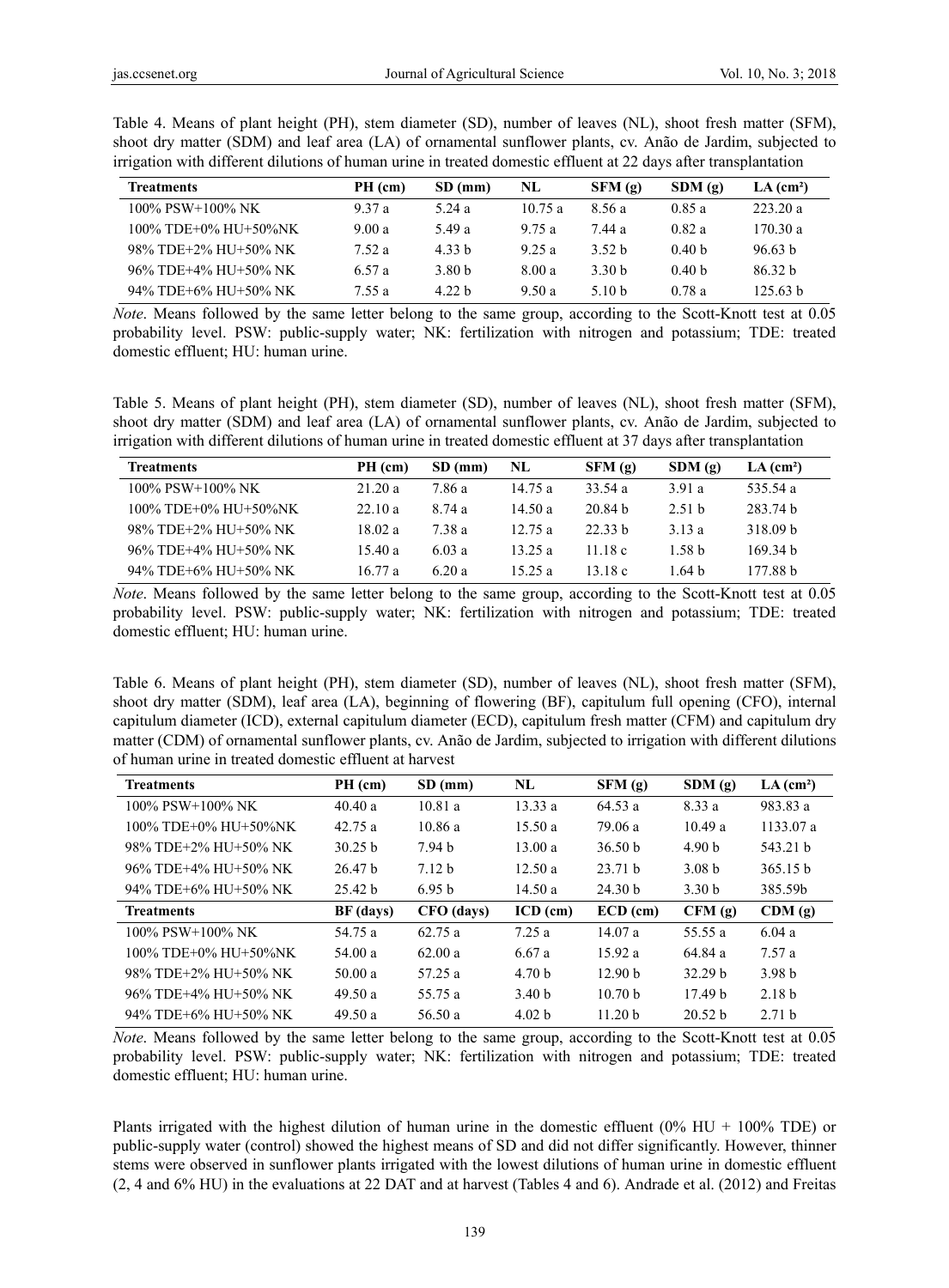Table 4. Means of plant height (PH), stem diameter (SD), number of leaves (NL), shoot fresh matter (SFM), shoot dry matter (SDM) and leaf area (LA) of ornamental sunflower plants, cv. Anão de Jardim, subjected to irrigation with different dilutions of human urine in treated domestic effluent at 22 days after transplantation

| <b>Treatments</b>    | PH (cm) | SD(mm) | NL     | SFM(g)            | SDM(g)            | $LA$ (cm <sup>2</sup> ) |
|----------------------|---------|--------|--------|-------------------|-------------------|-------------------------|
| 100% PSW+100% NK     | 9.37a   | 5.24 a | 10.75a | 8.56 a            | 0.85a             | 223.20 a                |
| 100% TDE+0% HU+50%NK | 9.00a   | 549 a  | 9 75 a | 744 а             | 0.82a             | 170.30 a                |
| 98% TDE+2% HU+50% NK | 7.52a   | 4 33 h | 9.25a  | 3.52 <sub>b</sub> | 0.40 <sub>b</sub> | 96.63 h                 |
| 96% TDE+4% HU+50% NK | 6.57 a  | 3.80 b | 8.00 a | 3.30 b            | 0.40 <sub>b</sub> | 86.32 <sub>b</sub>      |
| 94% TDE+6% HU+50% NK | 7.55 a  | 4 22 h | 9.50a  | 5.10 b            | 0.78a             | 125.63 h                |

*Note*. Means followed by the same letter belong to the same group, according to the Scott-Knott test at 0.05 probability level. PSW: public-supply water; NK: fertilization with nitrogen and potassium; TDE: treated domestic effluent; HU: human urine.

Table 5. Means of plant height (PH), stem diameter (SD), number of leaves (NL), shoot fresh matter (SFM), shoot dry matter (SDM) and leaf area (LA) of ornamental sunflower plants, cv. Anão de Jardim, subjected to irrigation with different dilutions of human urine in treated domestic effluent at 37 days after transplantation

| <b>Treatments</b>    | PH (cm) | SD(mm) | NL.       | SFM(g)    | SDM(g)            | $LA$ (cm <sup>2</sup> ) |
|----------------------|---------|--------|-----------|-----------|-------------------|-------------------------|
| 100% PSW+100% NK     | 21.20a  | 786а   | 14.75a    | 33.54 $a$ | 3.91 a            | 535.54 a                |
| 100% TDE+0% HU+50%NK | 22.10a  | 8 74 a | 14.50 $a$ | 20 84 h   | 2.51h             | 283 74 h                |
| 98% TDE+2% HU+50% NK | 18.02 a | 7 38 a | 12.75a    | 22.33h    | 3.13a             | 318.09 <sub>b</sub>     |
| 96% TDE+4% HU+50% NK | 15.40a  | 6.03a  | 13.25a    | 11 18 $c$ | 1.58 <sub>b</sub> | 169.34 h                |
| 94% TDE+6% HU+50% NK | 16.77a  | 6.20a  | 15 25 a   | 13.18 c   | 1 64 h            | 177 88 h                |

*Note*. Means followed by the same letter belong to the same group, according to the Scott-Knott test at 0.05 probability level. PSW: public-supply water; NK: fertilization with nitrogen and potassium; TDE: treated domestic effluent; HU: human urine.

Table 6. Means of plant height (PH), stem diameter (SD), number of leaves (NL), shoot fresh matter (SFM), shoot dry matter (SDM), leaf area (LA), beginning of flowering (BF), capitulum full opening (CFO), internal capitulum diameter (ICD), external capitulum diameter (ECD), capitulum fresh matter (CFM) and capitulum dry matter (CDM) of ornamental sunflower plants, cv. Anão de Jardim, subjected to irrigation with different dilutions of human urine in treated domestic effluent at harvest

| <b>Treatments</b>    | PH (cm)   | $SD$ (mm)         | NL                | SFM(g)             | SDM(g)             | $LA$ (cm <sup>2</sup> ) |
|----------------------|-----------|-------------------|-------------------|--------------------|--------------------|-------------------------|
| $100\%$ PSW+100% NK  | 40.40a    | 10.81 a           | 13.33a            | 64.53a             | 8.33 a             | 983.83 a                |
| 100% TDE+0% HU+50%NK | 42.75a    | 10.86a            | 15.50a            | 79.06 a            | 10.49a             | 1133.07a                |
| 98% TDE+2% HU+50% NK | 30.25 h   | 7.94 h            | 13.00a            | 36.50 <sub>b</sub> | 4.90 <sub>b</sub>  | 543.21 h                |
| 96% TDE+4% HU+50% NK | 26.47h    | 7.12 <sub>b</sub> | 12.50a            | 23.71 h            | 3.08 h             | 365.15 <sub>b</sub>     |
| 94% TDE+6% HU+50% NK | 25.42 b   | 6.95 <sub>b</sub> | 14.50a            | 24.30 <sub>b</sub> | 3.30 <sub>b</sub>  | 385.59b                 |
| <b>Treatments</b>    | BF (days) | CFO (days)        | $ICD$ (cm)        | $ECD$ (cm)         | CFM(g)             | CDM(g)                  |
| $100\%$ PSW+100% NK  | 54.75 a   | 62.75a            | 7.25a             | 14.07a             | 55.55 a            | 6.04a                   |
| 100% TDE+0% HU+50%NK | 54.00 $a$ | 62.00 a           | 6.67 a            | 15.92 a            | 64.84 a            | 7.57a                   |
| 98% TDE+2% HU+50% NK | 50.00a    | 57.25 a           | 4.70 <sub>b</sub> | 12.90 <sub>b</sub> | 32.29 <sub>b</sub> | 3.98 <sub>b</sub>       |
| 96% TDE+4% HU+50% NK | 49.50a    | 55.75 a           | 3.40 <sub>b</sub> | 10.70 <sub>b</sub> | 17.49 <sub>b</sub> | 2.18 <sub>b</sub>       |
| 94% TDE+6% HU+50% NK | 49.50a    | 56.50 a           | 4.02 <sub>b</sub> | 11.20 <sub>b</sub> | 20.52 <sub>b</sub> | 2.71h                   |

*Note*. Means followed by the same letter belong to the same group, according to the Scott-Knott test at 0.05 probability level. PSW: public-supply water; NK: fertilization with nitrogen and potassium; TDE: treated domestic effluent; HU: human urine.

Plants irrigated with the highest dilution of human urine in the domestic effluent (0% HU + 100% TDE) or public-supply water (control) showed the highest means of SD and did not differ significantly. However, thinner stems were observed in sunflower plants irrigated with the lowest dilutions of human urine in domestic effluent (2, 4 and 6% HU) in the evaluations at 22 DAT and at harvest (Tables 4 and 6). Andrade et al. (2012) and Freitas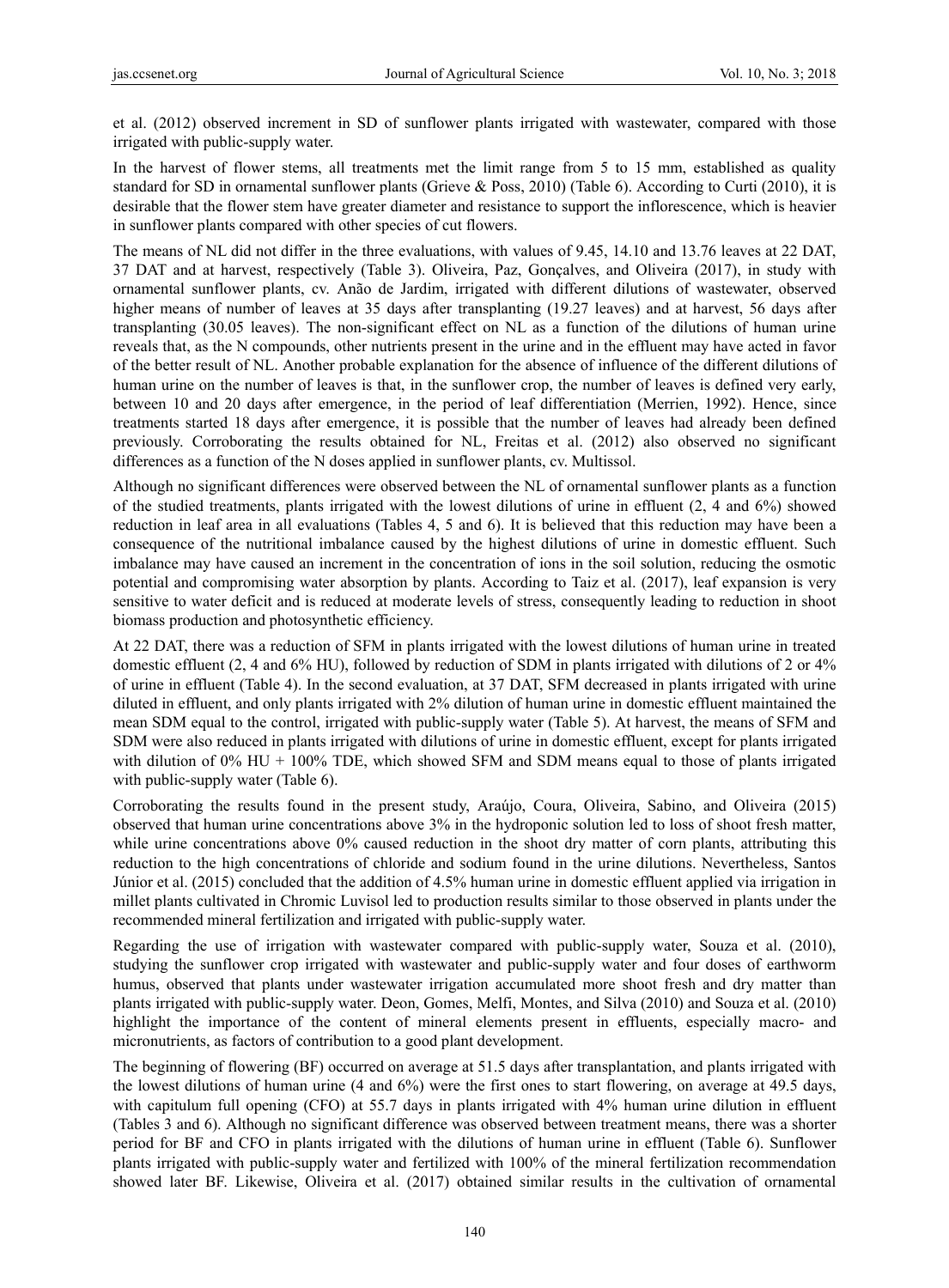et al. (2012) observed increment in SD of sunflower plants irrigated with wastewater, compared with those irrigated with public-supply water.

In the harvest of flower stems, all treatments met the limit range from 5 to 15 mm, established as quality standard for SD in ornamental sunflower plants (Grieve & Poss, 2010) (Table 6). According to Curti (2010), it is desirable that the flower stem have greater diameter and resistance to support the inflorescence, which is heavier in sunflower plants compared with other species of cut flowers.

The means of NL did not differ in the three evaluations, with values of 9.45, 14.10 and 13.76 leaves at 22 DAT, 37 DAT and at harvest, respectively (Table 3). Oliveira, Paz, Gonçalves, and Oliveira (2017), in study with ornamental sunflower plants, cv. Anão de Jardim, irrigated with different dilutions of wastewater, observed higher means of number of leaves at 35 days after transplanting (19.27 leaves) and at harvest, 56 days after transplanting (30.05 leaves). The non-significant effect on NL as a function of the dilutions of human urine reveals that, as the N compounds, other nutrients present in the urine and in the effluent may have acted in favor of the better result of NL. Another probable explanation for the absence of influence of the different dilutions of human urine on the number of leaves is that, in the sunflower crop, the number of leaves is defined very early, between 10 and 20 days after emergence, in the period of leaf differentiation (Merrien, 1992). Hence, since treatments started 18 days after emergence, it is possible that the number of leaves had already been defined previously. Corroborating the results obtained for NL, Freitas et al. (2012) also observed no significant differences as a function of the N doses applied in sunflower plants, cv. Multissol.

Although no significant differences were observed between the NL of ornamental sunflower plants as a function of the studied treatments, plants irrigated with the lowest dilutions of urine in effluent (2, 4 and 6%) showed reduction in leaf area in all evaluations (Tables 4, 5 and 6). It is believed that this reduction may have been a consequence of the nutritional imbalance caused by the highest dilutions of urine in domestic effluent. Such imbalance may have caused an increment in the concentration of ions in the soil solution, reducing the osmotic potential and compromising water absorption by plants. According to Taiz et al. (2017), leaf expansion is very sensitive to water deficit and is reduced at moderate levels of stress, consequently leading to reduction in shoot biomass production and photosynthetic efficiency.

At 22 DAT, there was a reduction of SFM in plants irrigated with the lowest dilutions of human urine in treated domestic effluent (2, 4 and 6% HU), followed by reduction of SDM in plants irrigated with dilutions of 2 or 4% of urine in effluent (Table 4). In the second evaluation, at 37 DAT, SFM decreased in plants irrigated with urine diluted in effluent, and only plants irrigated with 2% dilution of human urine in domestic effluent maintained the mean SDM equal to the control, irrigated with public-supply water (Table 5). At harvest, the means of SFM and SDM were also reduced in plants irrigated with dilutions of urine in domestic effluent, except for plants irrigated with dilution of 0% HU + 100% TDE, which showed SFM and SDM means equal to those of plants irrigated with public-supply water (Table 6).

Corroborating the results found in the present study, Araújo, Coura, Oliveira, Sabino, and Oliveira (2015) observed that human urine concentrations above 3% in the hydroponic solution led to loss of shoot fresh matter, while urine concentrations above 0% caused reduction in the shoot dry matter of corn plants, attributing this reduction to the high concentrations of chloride and sodium found in the urine dilutions. Nevertheless, Santos Júnior et al. (2015) concluded that the addition of 4.5% human urine in domestic effluent applied via irrigation in millet plants cultivated in Chromic Luvisol led to production results similar to those observed in plants under the recommended mineral fertilization and irrigated with public-supply water.

Regarding the use of irrigation with wastewater compared with public-supply water, Souza et al. (2010), studying the sunflower crop irrigated with wastewater and public-supply water and four doses of earthworm humus, observed that plants under wastewater irrigation accumulated more shoot fresh and dry matter than plants irrigated with public-supply water. Deon, Gomes, Melfi, Montes, and Silva (2010) and Souza et al. (2010) highlight the importance of the content of mineral elements present in effluents, especially macro- and micronutrients, as factors of contribution to a good plant development.

The beginning of flowering (BF) occurred on average at 51.5 days after transplantation, and plants irrigated with the lowest dilutions of human urine (4 and 6%) were the first ones to start flowering, on average at 49.5 days, with capitulum full opening (CFO) at 55.7 days in plants irrigated with 4% human urine dilution in effluent (Tables 3 and 6). Although no significant difference was observed between treatment means, there was a shorter period for BF and CFO in plants irrigated with the dilutions of human urine in effluent (Table 6). Sunflower plants irrigated with public-supply water and fertilized with 100% of the mineral fertilization recommendation showed later BF. Likewise, Oliveira et al. (2017) obtained similar results in the cultivation of ornamental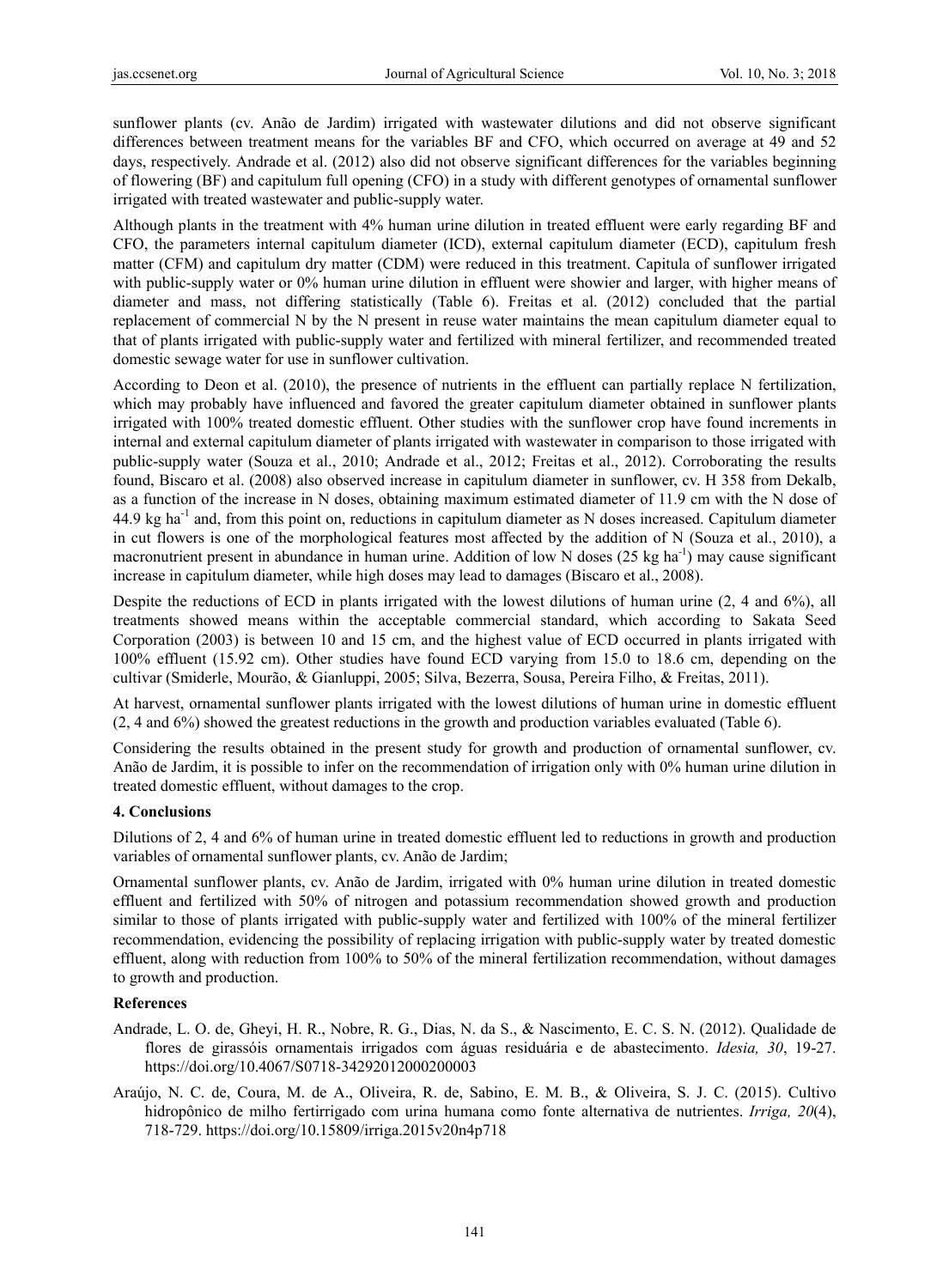sunflower plants (cv. Anão de Jardim) irrigated with wastewater dilutions and did not observe significant differences between treatment means for the variables BF and CFO, which occurred on average at 49 and 52 days, respectively. Andrade et al. (2012) also did not observe significant differences for the variables beginning of flowering (BF) and capitulum full opening (CFO) in a study with different genotypes of ornamental sunflower irrigated with treated wastewater and public-supply water.

Although plants in the treatment with 4% human urine dilution in treated effluent were early regarding BF and CFO, the parameters internal capitulum diameter (ICD), external capitulum diameter (ECD), capitulum fresh matter (CFM) and capitulum dry matter (CDM) were reduced in this treatment. Capitula of sunflower irrigated with public-supply water or 0% human urine dilution in effluent were showier and larger, with higher means of diameter and mass, not differing statistically (Table 6). Freitas et al. (2012) concluded that the partial replacement of commercial N by the N present in reuse water maintains the mean capitulum diameter equal to that of plants irrigated with public-supply water and fertilized with mineral fertilizer, and recommended treated domestic sewage water for use in sunflower cultivation.

According to Deon et al. (2010), the presence of nutrients in the effluent can partially replace N fertilization, which may probably have influenced and favored the greater capitulum diameter obtained in sunflower plants irrigated with 100% treated domestic effluent. Other studies with the sunflower crop have found increments in internal and external capitulum diameter of plants irrigated with wastewater in comparison to those irrigated with public-supply water (Souza et al., 2010; Andrade et al., 2012; Freitas et al., 2012). Corroborating the results found, Biscaro et al. (2008) also observed increase in capitulum diameter in sunflower, cv. H 358 from Dekalb, as a function of the increase in N doses, obtaining maximum estimated diameter of 11.9 cm with the N dose of 44.9 kg ha-1 and, from this point on, reductions in capitulum diameter as N doses increased. Capitulum diameter in cut flowers is one of the morphological features most affected by the addition of N (Souza et al., 2010), a macronutrient present in abundance in human urine. Addition of low N doses  $(25 \text{ kg ha}^{-1})$  may cause significant increase in capitulum diameter, while high doses may lead to damages (Biscaro et al., 2008).

Despite the reductions of ECD in plants irrigated with the lowest dilutions of human urine (2, 4 and 6%), all treatments showed means within the acceptable commercial standard, which according to Sakata Seed Corporation (2003) is between 10 and 15 cm, and the highest value of ECD occurred in plants irrigated with 100% effluent (15.92 cm). Other studies have found ECD varying from 15.0 to 18.6 cm, depending on the cultivar (Smiderle, Mourão, & Gianluppi, 2005; Silva, Bezerra, Sousa, Pereira Filho, & Freitas, 2011).

At harvest, ornamental sunflower plants irrigated with the lowest dilutions of human urine in domestic effluent (2, 4 and 6%) showed the greatest reductions in the growth and production variables evaluated (Table 6).

Considering the results obtained in the present study for growth and production of ornamental sunflower, cv. Anão de Jardim, it is possible to infer on the recommendation of irrigation only with 0% human urine dilution in treated domestic effluent, without damages to the crop.

## **4. Conclusions**

Dilutions of 2, 4 and 6% of human urine in treated domestic effluent led to reductions in growth and production variables of ornamental sunflower plants, cv. Anão de Jardim;

Ornamental sunflower plants, cv. Anão de Jardim, irrigated with 0% human urine dilution in treated domestic effluent and fertilized with 50% of nitrogen and potassium recommendation showed growth and production similar to those of plants irrigated with public-supply water and fertilized with 100% of the mineral fertilizer recommendation, evidencing the possibility of replacing irrigation with public-supply water by treated domestic effluent, along with reduction from 100% to 50% of the mineral fertilization recommendation, without damages to growth and production.

## **References**

- Andrade, L. O. de, Gheyi, H. R., Nobre, R. G., Dias, N. da S., & Nascimento, E. C. S. N. (2012). Qualidade de flores de girassóis ornamentais irrigados com águas residuária e de abastecimento. *Idesia, 30*, 19-27. https://doi.org/10.4067/S0718-34292012000200003
- Araújo, N. C. de, Coura, M. de A., Oliveira, R. de, Sabino, E. M. B., & Oliveira, S. J. C. (2015). Cultivo hidropônico de milho fertirrigado com urina humana como fonte alternativa de nutrientes. *Irriga, 20*(4), 718-729. https://doi.org/10.15809/irriga.2015v20n4p718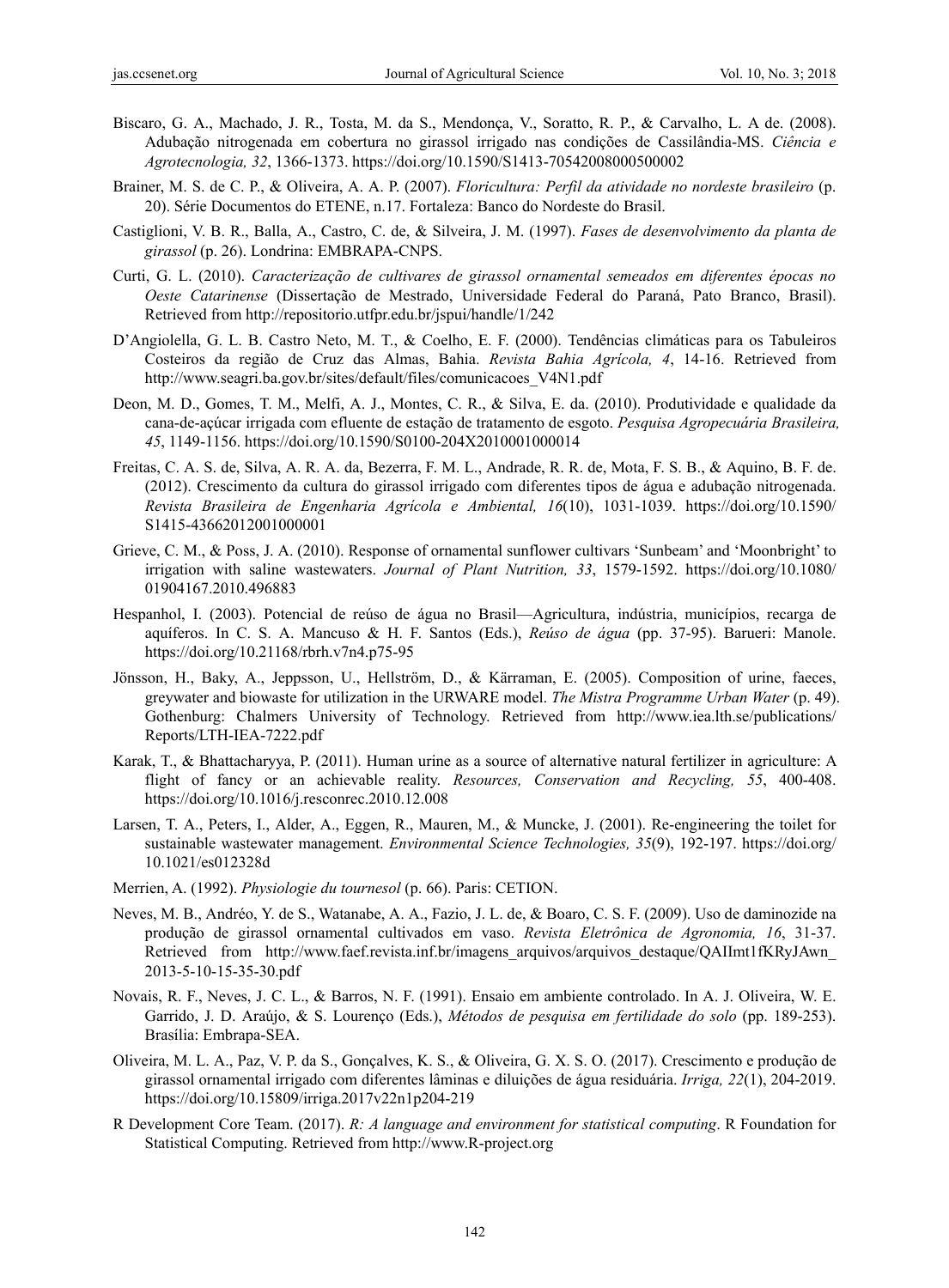- Biscaro, G. A., Machado, J. R., Tosta, M. da S., Mendonça, V., Soratto, R. P., & Carvalho, L. A de. (2008). Adubação nitrogenada em cobertura no girassol irrigado nas condições de Cassilândia-MS. *Ciência e Agrotecnologia, 32*, 1366-1373. https://doi.org/10.1590/S1413-70542008000500002
- Brainer, M. S. de C. P., & Oliveira, A. A. P. (2007). *Floricultura: Perfil da atividade no nordeste brasileiro* (p. 20). Série Documentos do ETENE, n.17. Fortaleza: Banco do Nordeste do Brasil.
- Castiglioni, V. B. R., Balla, A., Castro, C. de, & Silveira, J. M. (1997). *Fases de desenvolvimento da planta de girassol* (p. 26). Londrina: EMBRAPA-CNPS.
- Curti, G. L. (2010). *Caracterização de cultivares de girassol ornamental semeados em diferentes épocas no Oeste Catarinense* (Dissertação de Mestrado, Universidade Federal do Paraná, Pato Branco, Brasil). Retrieved from http://repositorio.utfpr.edu.br/jspui/handle/1/242
- D'Angiolella, G. L. B. Castro Neto, M. T., & Coelho, E. F. (2000). Tendências climáticas para os Tabuleiros Costeiros da região de Cruz das Almas, Bahia. *Revista Bahia Agrícola, 4*, 14-16. Retrieved from http://www.seagri.ba.gov.br/sites/default/files/comunicacoes\_V4N1.pdf
- Deon, M. D., Gomes, T. M., Melfi, A. J., Montes, C. R., & Silva, E. da. (2010). Produtividade e qualidade da cana-de-açúcar irrigada com efluente de estação de tratamento de esgoto. *Pesquisa Agropecuária Brasileira, 45*, 1149-1156. https://doi.org/10.1590/S0100-204X2010001000014
- Freitas, C. A. S. de, Silva, A. R. A. da, Bezerra, F. M. L., Andrade, R. R. de, Mota, F. S. B., & Aquino, B. F. de. (2012). Crescimento da cultura do girassol irrigado com diferentes tipos de água e adubação nitrogenada. *Revista Brasileira de Engenharia Agrícola e Ambiental, 16*(10), 1031-1039. https://doi.org/10.1590/ S1415-43662012001000001
- Grieve, C. M., & Poss, J. A. (2010). Response of ornamental sunflower cultivars 'Sunbeam' and 'Moonbright' to irrigation with saline wastewaters. *Journal of Plant Nutrition, 33*, 1579-1592. https://doi.org/10.1080/ 01904167.2010.496883
- Hespanhol, I. (2003). Potencial de reúso de água no Brasil—Agricultura, indústria, municípios, recarga de aquíferos. In C. S. A. Mancuso & H. F. Santos (Eds.), *Reúso de água* (pp. 37-95). Barueri: Manole. https://doi.org/10.21168/rbrh.v7n4.p75-95
- Jönsson, H., Baky, A., Jeppsson, U., Hellström, D., & Kärraman, E. (2005). Composition of urine, faeces, greywater and biowaste for utilization in the URWARE model. *The Mistra Programme Urban Water* (p. 49). Gothenburg: Chalmers University of Technology. Retrieved from http://www.iea.lth.se/publications/ Reports/LTH-IEA-7222.pdf
- Karak, T., & Bhattacharyya, P. (2011). Human urine as a source of alternative natural fertilizer in agriculture: A flight of fancy or an achievable reality. *Resources, Conservation and Recycling, 55*, 400-408. https://doi.org/10.1016/j.resconrec.2010.12.008
- Larsen, T. A., Peters, I., Alder, A., Eggen, R., Mauren, M., & Muncke, J. (2001). Re-engineering the toilet for sustainable wastewater management. *Environmental Science Technologies, 35*(9), 192-197. https://doi.org/ 10.1021/es012328d
- Merrien, A. (1992). *Physiologie du tournesol* (p. 66). Paris: CETION.
- Neves, M. B., Andréo, Y. de S., Watanabe, A. A., Fazio, J. L. de, & Boaro, C. S. F. (2009). Uso de daminozide na produção de girassol ornamental cultivados em vaso. *Revista Eletrônica de Agronomia, 16*, 31-37. Retrieved from http://www.faef.revista.inf.br/imagens arquivos/arquivos destaque/QAIImt1fKRyJAwn 2013-5-10-15-35-30.pdf
- Novais, R. F., Neves, J. C. L., & Barros, N. F. (1991). Ensaio em ambiente controlado. In A. J. Oliveira, W. E. Garrido, J. D. Araújo, & S. Lourenço (Eds.), *Métodos de pesquisa em fertilidade do solo* (pp. 189-253). Brasília: Embrapa-SEA.
- Oliveira, M. L. A., Paz, V. P. da S., Gonçalves, K. S., & Oliveira, G. X. S. O. (2017). Crescimento e produção de girassol ornamental irrigado com diferentes lâminas e diluições de água residuária. *Irriga, 22*(1), 204-2019. https://doi.org/10.15809/irriga.2017v22n1p204-219
- R Development Core Team. (2017). *R: A language and environment for statistical computing*. R Foundation for Statistical Computing. Retrieved from http://www.R-project.org